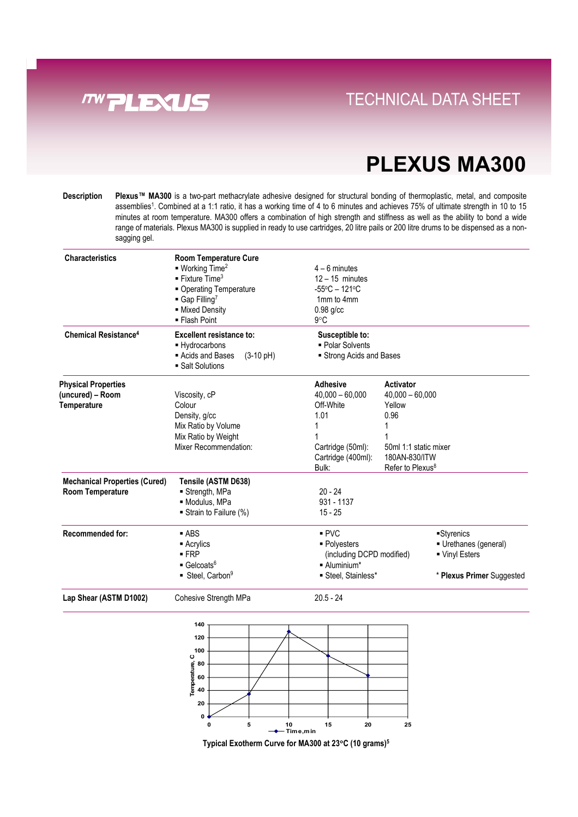

### **Direct Links Convenience With Tray System** TECHNICAL DATA SHEET

## **PLEXUS MA300**

**Description Plexus™ MA300** is a two-part methacrylate adhesive designed for structural bonding of thermoplastic, metal, and composite assemblies<sup>1</sup>. Combined at a 1:1 ratio, it has a working time of 4 to 6 minutes and achieves 75% of ultimate strength in 10 to 15 minutes at room temperature. MA300 offers a combination of high strength and stiffness as well as the ability to bond a wide range of materials. Plexus MA300 is supplied in ready to use cartridges, 20 litre pails or 200 litre drums to be dispensed as a nonsagging gel.

| <b>Characteristics</b>                 | <b>Room Temperature Cure</b>                               |                                                                                   |                              |                           |
|----------------------------------------|------------------------------------------------------------|-----------------------------------------------------------------------------------|------------------------------|---------------------------|
|                                        | $\blacksquare$ Working Time <sup>2</sup>                   | $4 - 6$ minutes                                                                   |                              |                           |
|                                        | <b>Fixture Time</b> <sup>3</sup>                           | $12 - 15$ minutes                                                                 |                              |                           |
|                                        | • Operating Temperature                                    | $-55^{\circ}$ C - 121 $^{\circ}$ C                                                |                              |                           |
|                                        | $\blacksquare$ Gap Filling <sup>7</sup>                    | 1mm to 4mm                                                                        |                              |                           |
|                                        |                                                            |                                                                                   |                              |                           |
|                                        | - Mixed Density<br>■ Flash Point                           | $0.98$ g/cc<br>9°C                                                                |                              |                           |
|                                        |                                                            |                                                                                   |                              |                           |
| <b>Chemical Resistance<sup>4</sup></b> | <b>Excellent resistance to:</b>                            | Susceptible to:                                                                   |                              |                           |
|                                        | - Hydrocarbons                                             | • Polar Solvents                                                                  |                              |                           |
|                                        | Acids and Bases<br>$(3-10 \text{ pH})$<br>• Salt Solutions | Strong Acids and Bases                                                            |                              |                           |
| <b>Physical Properties</b>             |                                                            | <b>Adhesive</b>                                                                   | Activator                    |                           |
| (uncured) – Room                       | Viscosity, cP                                              | $40,000 - 60,000$                                                                 | $40,000 - 60,000$            |                           |
| <b>Temperature</b>                     | Colour                                                     | Off-White                                                                         | Yellow                       |                           |
|                                        | Density, g/cc                                              | 1.01                                                                              | 0.96                         |                           |
|                                        | Mix Ratio by Volume                                        |                                                                                   |                              |                           |
|                                        | Mix Ratio by Weight                                        |                                                                                   |                              |                           |
|                                        | Mixer Recommendation:                                      | Cartridge (50ml):<br>50ml 1:1 static mixer<br>180AN-830/ITW<br>Cartridge (400ml): |                              |                           |
|                                        |                                                            |                                                                                   |                              |                           |
|                                        |                                                            | Bulk:                                                                             | Refer to Plexus <sup>8</sup> |                           |
| <b>Mechanical Properties (Cured)</b>   | Tensile (ASTM D638)                                        |                                                                                   |                              |                           |
| <b>Room Temperature</b>                | ■ Strength, MPa                                            | $20 - 24$                                                                         |                              |                           |
|                                        | · Modulus, MPa                                             | 931 - 1137                                                                        |                              |                           |
|                                        | Strain to Failure (%)                                      | $15 - 25$                                                                         |                              |                           |
| <b>Recommended for:</b>                | $-$ ABS                                                    | PVC                                                                               |                              | Styrenics                 |
|                                        | ■ Acrylics                                                 | ■ Polyesters                                                                      |                              | Urethanes (general)       |
|                                        | $-FRP$                                                     | (including DCPD modified)                                                         |                              | ■ Vinyl Esters            |
|                                        | $\blacksquare$ Gelcoats <sup>6</sup>                       | $\blacksquare$ Aluminium*                                                         |                              |                           |
|                                        | ■ Steel, Carbon <sup>9</sup>                               | Steel, Stainless*                                                                 |                              | * Plexus Primer Suggested |
| Lap Shear (ASTM D1002)                 | Cohesive Strength MPa                                      | $20.5 - 24$                                                                       |                              |                           |



**Typical Exotherm Curve for MA300 at 23**°**C (10 grams)5**